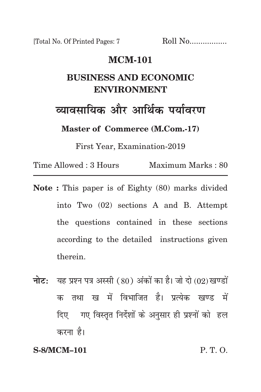[Total No. Of Printed Pages: 7 Roll No.................

## **mcm-101**

# **business and economic environment**

<u>व्यावसायिक और आर्थिक पर्यावरण</u>

**Master of Commerce (M.Com.-17)**

First Year, Examination-2019

Time Allowed : 3 Hours Maximum Marks : 80

- **Note :** This paper is of Eighty (80) marks divided into Two (02) sections A and B. Attempt the questions contained in these sections according to the detailed instructions given therein.
- **नोट:** यह प्रश्न पत्र अस्सी (80) अंकों का है। जो दो (02) खण्डों क तथा ख में विभाजित है। प्रत्येक खण्ड में दिए गए विस्तृत निर्देशों के अनुसार ही प्रश्नों को हल करना है।

#### **S-8/MCM–101** P. T. O.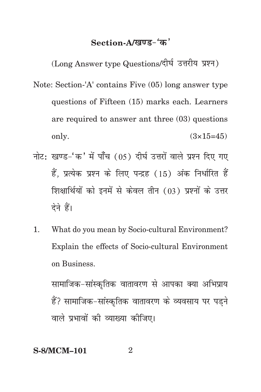# Section-A/<u>खण्ड-</u>'क'

(Long Answer type Questions/दीर्घ उत्तरीय प्रश्न)

- Note: Section-'A' contains Five (05) long answer type questions of Fifteen (15) marks each. Learners are required to answer ant three (03) questions only.  $(3 \times 15 = 45)$
- नोट: खण्ड-'क' में पाँच (05) दीर्घ उत्तरों वाले प्रश्न दिए गए हैं. प्रत्येक प्रश्न के लिए पन्द्रह (15) अंक निर्धारित हैं शिक्षार्थियों को इनमें से केवल तीन (03) प्रश्नों के उत्तर देने हैं।
- 1. What do you mean by Socio-cultural Environment? Explain the effects of Socio-cultural Environment on Business.

सामाजिक-सांस्कतिक वातावरण से आपका क्या अभिप्राय हैं? सामाजिक-सांस्कृतिक वातावरण के व्यवसाय पर पडने वाले प्रभावों की व्याख्या कीजिए।

**S-8/MCM–101** 2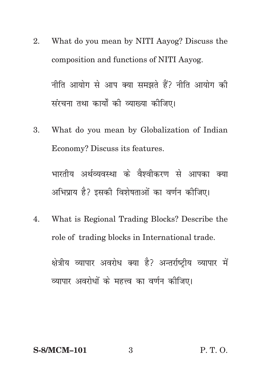- 2. What do you mean by NITI Aayog? Discuss the composition and functions of NITI Aayog. नीति आयोग से आप क्या समझते हैं? नीति आयोग की संरचना तथा कार्यों की व्याख्या कीजिए।
- 3. What do you mean by Globalization of Indian Economy? Discuss its features.

भारतीय अर्थव्यवस्था के वैश्वीकरण से आपका क्या अभिप्राय है? इसकी विशेषताओं का वर्णन कीजिए।

4. What is Regional Trading Blocks? Describe the role of trading blocks in International trade.

क्षेत्रीय व्यापार अवरोध क्या है? अन्तर्राष्टीय व्यापार में व्यापार अवरोधों के महत्त्व का वर्णन कीजिए।

### **S-8/MCM–101** 3 P. T. O.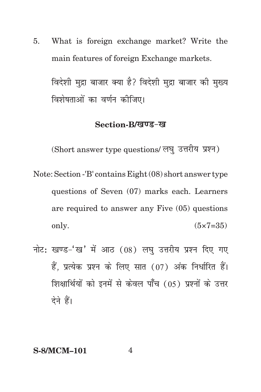5. What is foreign exchange market? Write the main features of foreign Exchange markets.

विदेशी मुद्रा बाजार क्या है? विदेशी मुद्रा बाजार की मुख्य विशेषताओं का वर्णन कोजिए।

### Section-B/*खण्ड-ख*

(Short answer type questions/ लघु उत्तरीय प्रश्न)

- Note: Section -'B' contains Eight (08) short answer type questions of Seven (07) marks each. Learners are required to answer any Five (05) questions only.  $(5 \times 7 = 35)$
- नोट: खण्ड-'ख' में आठ  $(08)$  लघु उत्तरीय प्रश्न दिए गए हैं. प्रत्येक प्रश्न के लिए सात (07) अंक निर्धारित हैं। शिक्षार्थियों को इनमें से केवल पाँच (05) प्रश्नों के उत्तर देने हैं।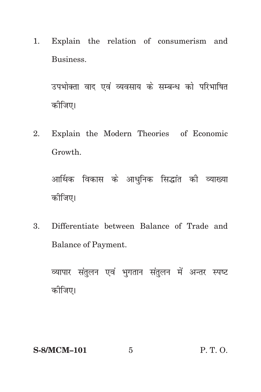1. Explain the relation of consumerism and Business.

उपभोक्ता वाद एवं व्यवसाय के सम्बन्ध को परिभाषित कोजिए।

2. Explain the Modern Theories of Economic Growth.

आर्थिक विकास के आधुनिक सिद्धांत की व्याख्या कोजिए।

Differentiate between Balance of Trade and  $3<sub>1</sub>$ Balance of Payment.

व्यापार संतुलन एवं भुगतान संतुलन में अन्तर स्पष्ट कोजिए।

 $\overline{5}$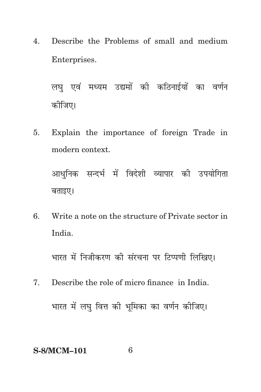4. Describe the Problems of small and medium Enterprises.

लघ एवं मध्यम उद्यमों की कठिनाईयों का वर्णन कोजिए।

5. Explain the importance of foreign Trade in modern context.

आधुनिक सन्दर्भ में विदेशी व्यापार की उपयोगिता बताइए।

6. Write a note on the structure of Private sector in India.

भारत में निजीकरण की संरचना पर टिप्पणी लिखिए।

7. Describe the role of micro finance in India. भारत में लघु वित्त की भूमिका का वर्णन कीजिए।

#### **S-8/MCM–101** 6